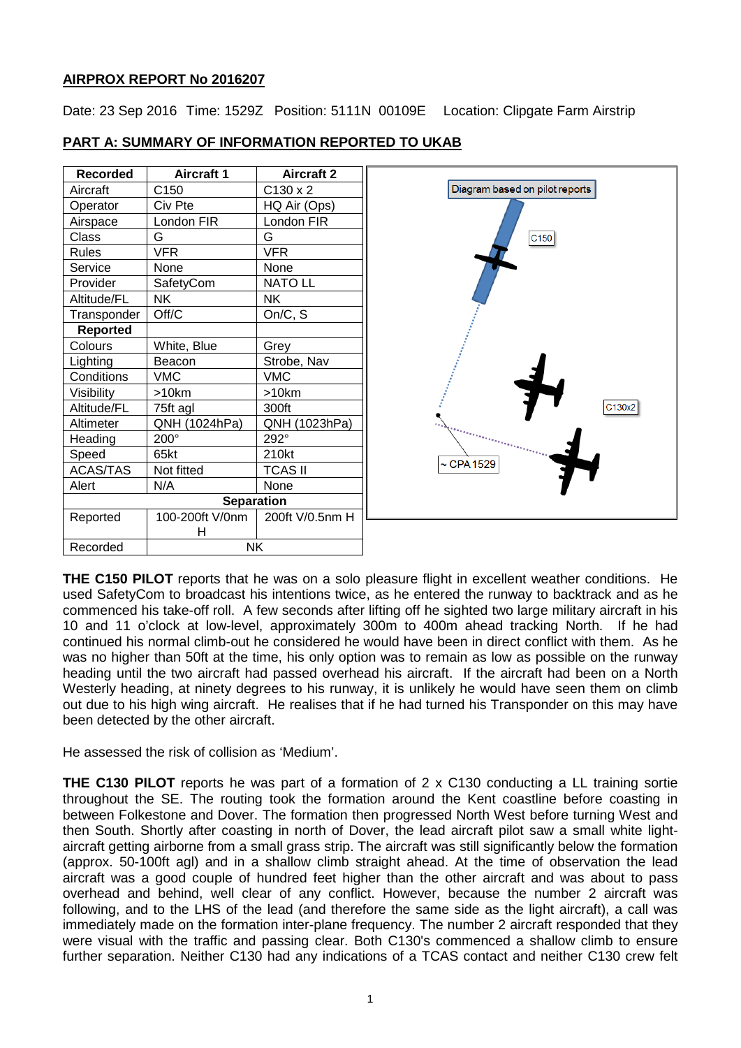# **AIRPROX REPORT No 2016207**

Date: 23 Sep 2016 Time: 1529Z Position: 5111N 00109E Location: Clipgate Farm Airstrip

| Recorded        | <b>Aircraft 1</b> | <b>Aircraft 2</b> |
|-----------------|-------------------|-------------------|
| Aircraft        | C150              | $C130 \times 2$   |
| Operator        | Civ Pte           | HQ Air (Ops)      |
| Airspace        | London FIR        | London FIR        |
| Class           | G                 | G                 |
| <b>Rules</b>    | VFR               | VFR               |
| Service         | None              | None              |
| Provider        | SafetyCom         | <b>NATO LL</b>    |
| Altitude/FL     | ΝK                | <b>NK</b>         |
| Transponder     | Off/C             | On/C, S           |
| <b>Reported</b> |                   |                   |
| Colours         | White, Blue       | Grey              |
| Lighting        | Beacon            | Strobe, Nav       |
| Conditions      | VMC               | <b>VMC</b>        |
| Visibility      | >10km             | >10km             |
| Altitude/FL     | 75ft agl          | 300ft             |
| Altimeter       | QNH (1024hPa)     | QNH (1023hPa)     |
| Heading         | $200^\circ$       | 292°              |
| Speed           | 65kt              | 210kt             |
| <b>ACAS/TAS</b> | Not fitted        | TCAS II           |
| Alert           | N/A               | None              |
|                 | <b>Separation</b> |                   |
| Reported        | 100-200ft V/0nm   | 200ft V/0.5nm H   |
|                 | н                 |                   |
| Recorded        | NK                |                   |

## **PART A: SUMMARY OF INFORMATION REPORTED TO UKAB**



**THE C150 PILOT** reports that he was on a solo pleasure flight in excellent weather conditions. He used SafetyCom to broadcast his intentions twice, as he entered the runway to backtrack and as he commenced his take-off roll. A few seconds after lifting off he sighted two large military aircraft in his 10 and 11 o'clock at low-level, approximately 300m to 400m ahead tracking North. If he had continued his normal climb-out he considered he would have been in direct conflict with them. As he was no higher than 50ft at the time, his only option was to remain as low as possible on the runway heading until the two aircraft had passed overhead his aircraft. If the aircraft had been on a North Westerly heading, at ninety degrees to his runway, it is unlikely he would have seen them on climb out due to his high wing aircraft. He realises that if he had turned his Transponder on this may have been detected by the other aircraft.

He assessed the risk of collision as 'Medium'.

**THE C130 PILOT** reports he was part of a formation of 2 x C130 conducting a LL training sortie throughout the SE. The routing took the formation around the Kent coastline before coasting in between Folkestone and Dover. The formation then progressed North West before turning West and then South. Shortly after coasting in north of Dover, the lead aircraft pilot saw a small white lightaircraft getting airborne from a small grass strip. The aircraft was still significantly below the formation (approx. 50-100ft agl) and in a shallow climb straight ahead. At the time of observation the lead aircraft was a good couple of hundred feet higher than the other aircraft and was about to pass overhead and behind, well clear of any conflict. However, because the number 2 aircraft was following, and to the LHS of the lead (and therefore the same side as the light aircraft), a call was immediately made on the formation inter-plane frequency. The number 2 aircraft responded that they were visual with the traffic and passing clear. Both C130's commenced a shallow climb to ensure further separation. Neither C130 had any indications of a TCAS contact and neither C130 crew felt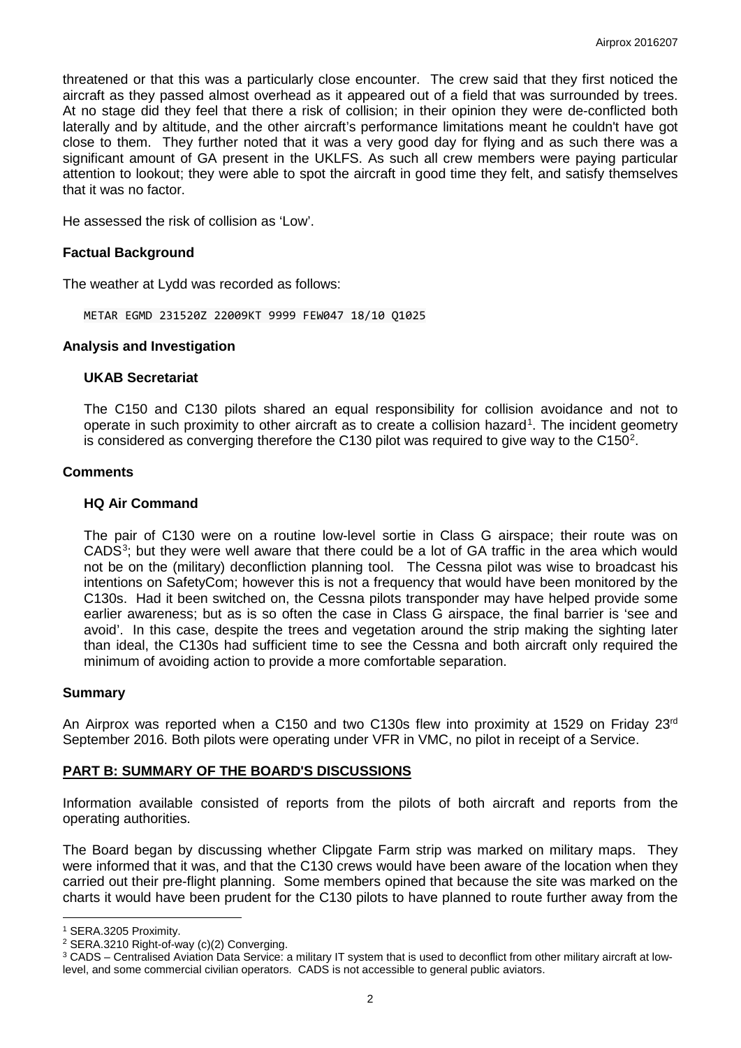threatened or that this was a particularly close encounter. The crew said that they first noticed the aircraft as they passed almost overhead as it appeared out of a field that was surrounded by trees. At no stage did they feel that there a risk of collision; in their opinion they were de-conflicted both laterally and by altitude, and the other aircraft's performance limitations meant he couldn't have got close to them. They further noted that it was a very good day for flying and as such there was a significant amount of GA present in the UKLFS. As such all crew members were paying particular attention to lookout; they were able to spot the aircraft in good time they felt, and satisfy themselves that it was no factor.

He assessed the risk of collision as 'Low'.

### **Factual Background**

The weather at Lydd was recorded as follows:

METAR EGMD 231520Z 22009KT 9999 FEW047 18/10 Q1025

#### **Analysis and Investigation**

#### **UKAB Secretariat**

The C150 and C130 pilots shared an equal responsibility for collision avoidance and not to operate in such proximity to other aircraft as to create a collision hazard<sup>[1](#page-1-0)</sup>. The incident geometry is considered as converging therefore the C130 pilot was required to give way to the C150<sup>[2](#page-1-1)</sup>.

### **Comments**

#### **HQ Air Command**

The pair of C130 were on a routine low-level sortie in Class G airspace; their route was on CADS $3$ ; but they were well aware that there could be a lot of GA traffic in the area which would not be on the (military) deconfliction planning tool. The Cessna pilot was wise to broadcast his intentions on SafetyCom; however this is not a frequency that would have been monitored by the C130s. Had it been switched on, the Cessna pilots transponder may have helped provide some earlier awareness; but as is so often the case in Class G airspace, the final barrier is 'see and avoid'. In this case, despite the trees and vegetation around the strip making the sighting later than ideal, the C130s had sufficient time to see the Cessna and both aircraft only required the minimum of avoiding action to provide a more comfortable separation.

#### **Summary**

An Airprox was reported when a C150 and two C130s flew into proximity at 1529 on Friday 23<sup>rd</sup> September 2016. Both pilots were operating under VFR in VMC, no pilot in receipt of a Service.

### **PART B: SUMMARY OF THE BOARD'S DISCUSSIONS**

Information available consisted of reports from the pilots of both aircraft and reports from the operating authorities.

The Board began by discussing whether Clipgate Farm strip was marked on military maps. They were informed that it was, and that the C130 crews would have been aware of the location when they carried out their pre-flight planning. Some members opined that because the site was marked on the charts it would have been prudent for the C130 pilots to have planned to route further away from the

 $\overline{\phantom{a}}$ <sup>1</sup> SERA.3205 Proximity.

<span id="page-1-1"></span><span id="page-1-0"></span><sup>2</sup> SERA.3210 Right-of-way (c)(2) Converging.

<span id="page-1-2"></span><sup>3</sup> CADS – Centralised Aviation Data Service: a military IT system that is used to deconflict from other military aircraft at lowlevel, and some commercial civilian operators. CADS is not accessible to general public aviators.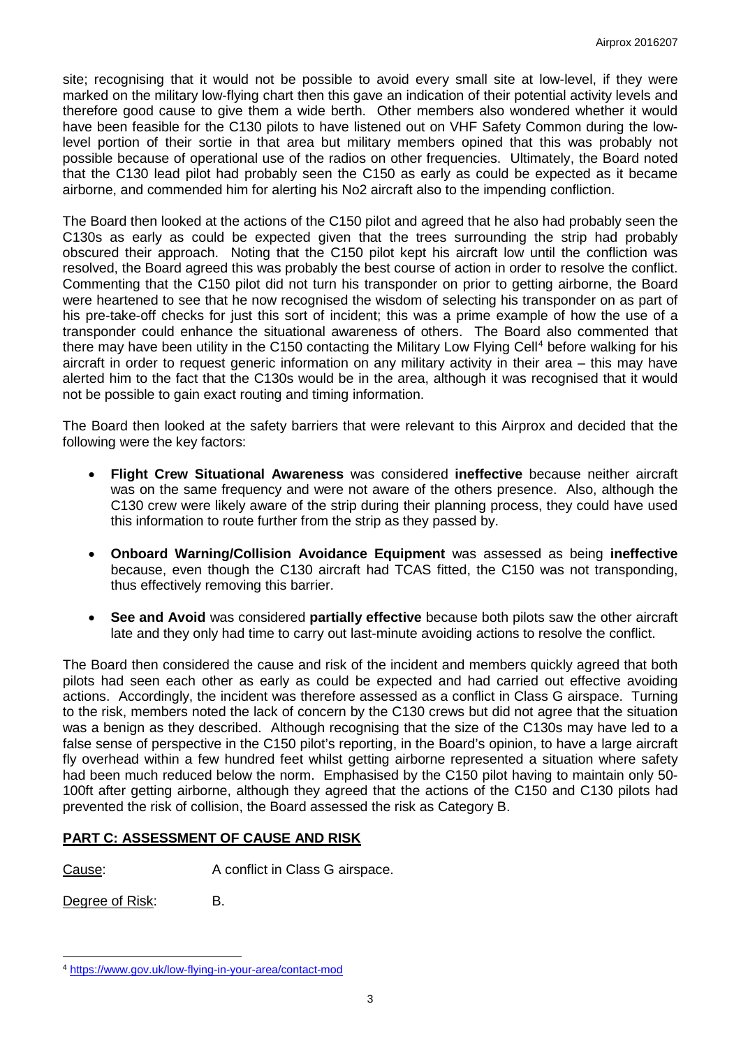site; recognising that it would not be possible to avoid every small site at low-level, if they were marked on the military low-flying chart then this gave an indication of their potential activity levels and therefore good cause to give them a wide berth. Other members also wondered whether it would have been feasible for the C130 pilots to have listened out on VHF Safety Common during the lowlevel portion of their sortie in that area but military members opined that this was probably not possible because of operational use of the radios on other frequencies. Ultimately, the Board noted that the C130 lead pilot had probably seen the C150 as early as could be expected as it became airborne, and commended him for alerting his No2 aircraft also to the impending confliction.

The Board then looked at the actions of the C150 pilot and agreed that he also had probably seen the C130s as early as could be expected given that the trees surrounding the strip had probably obscured their approach. Noting that the C150 pilot kept his aircraft low until the confliction was resolved, the Board agreed this was probably the best course of action in order to resolve the conflict. Commenting that the C150 pilot did not turn his transponder on prior to getting airborne, the Board were heartened to see that he now recognised the wisdom of selecting his transponder on as part of his pre-take-off checks for just this sort of incident; this was a prime example of how the use of a transponder could enhance the situational awareness of others. The Board also commented that there may have been utility in the C150 contacting the Military Low Flying Cell<sup>[4](#page-2-0)</sup> before walking for his aircraft in order to request generic information on any military activity in their area – this may have alerted him to the fact that the C130s would be in the area, although it was recognised that it would not be possible to gain exact routing and timing information.

The Board then looked at the safety barriers that were relevant to this Airprox and decided that the following were the key factors:

- **Flight Crew Situational Awareness** was considered **ineffective** because neither aircraft was on the same frequency and were not aware of the others presence. Also, although the C130 crew were likely aware of the strip during their planning process, they could have used this information to route further from the strip as they passed by.
- **Onboard Warning/Collision Avoidance Equipment** was assessed as being **ineffective** because, even though the C130 aircraft had TCAS fitted, the C150 was not transponding, thus effectively removing this barrier.
- **See and Avoid** was considered **partially effective** because both pilots saw the other aircraft late and they only had time to carry out last-minute avoiding actions to resolve the conflict.

The Board then considered the cause and risk of the incident and members quickly agreed that both pilots had seen each other as early as could be expected and had carried out effective avoiding actions. Accordingly, the incident was therefore assessed as a conflict in Class G airspace. Turning to the risk, members noted the lack of concern by the C130 crews but did not agree that the situation was a benign as they described. Although recognising that the size of the C130s may have led to a false sense of perspective in the C150 pilot's reporting, in the Board's opinion, to have a large aircraft fly overhead within a few hundred feet whilst getting airborne represented a situation where safety had been much reduced below the norm. Emphasised by the C150 pilot having to maintain only 50- 100ft after getting airborne, although they agreed that the actions of the C150 and C130 pilots had prevented the risk of collision, the Board assessed the risk as Category B.

# **PART C: ASSESSMENT OF CAUSE AND RISK**

Cause: A conflict in Class G airspace.

Degree of Risk: B.

 $\overline{\phantom{a}}$ 

<span id="page-2-0"></span><sup>4</sup> <https://www.gov.uk/low-flying-in-your-area/contact-mod>